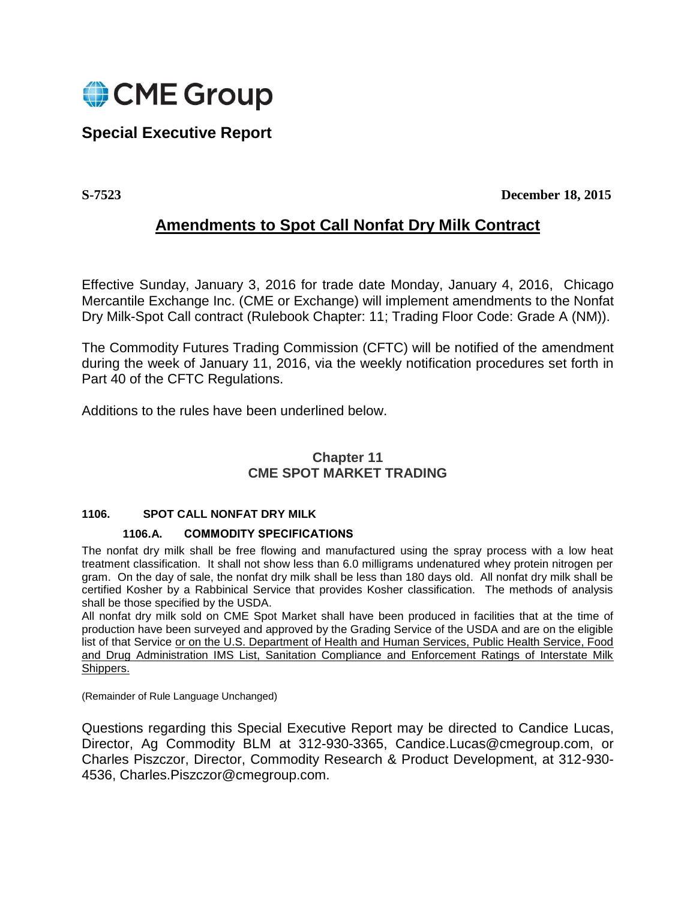

# **Special Executive Report**

**S-7523 December 18, 2015**

## **Amendments to Spot Call Nonfat Dry Milk Contract**

Effective Sunday, January 3, 2016 for trade date Monday, January 4, 2016, Chicago Mercantile Exchange Inc. (CME or Exchange) will implement amendments to the Nonfat Dry Milk-Spot Call contract (Rulebook Chapter: 11; Trading Floor Code: Grade A (NM)).

The Commodity Futures Trading Commission (CFTC) will be notified of the amendment during the week of January 11, 2016, via the weekly notification procedures set forth in Part 40 of the CFTC Regulations.

Additions to the rules have been underlined below.

## **Chapter 11 CME SPOT MARKET TRADING**

### **1106. SPOT CALL NONFAT DRY MILK**

#### **1106.A. COMMODITY SPECIFICATIONS**

The nonfat dry milk shall be free flowing and manufactured using the spray process with a low heat treatment classification. It shall not show less than 6.0 milligrams undenatured whey protein nitrogen per gram. On the day of sale, the nonfat dry milk shall be less than 180 days old. All nonfat dry milk shall be certified Kosher by a Rabbinical Service that provides Kosher classification. The methods of analysis shall be those specified by the USDA.

All nonfat dry milk sold on CME Spot Market shall have been produced in facilities that at the time of production have been surveyed and approved by the Grading Service of the USDA and are on the eligible list of that Service or on the U.S. Department of Health and Human Services, Public Health Service, Food and Drug Administration IMS List, Sanitation Compliance and Enforcement Ratings of Interstate Milk Shippers.

(Remainder of Rule Language Unchanged)

Questions regarding this Special Executive Report may be directed to Candice Lucas, Director, Ag Commodity BLM at 312-930-3365, Candice.Lucas@cmegroup.com, or Charles Piszczor, Director, Commodity Research & Product Development, at 312-930- 4536, Charles.Piszczor@cmegroup.com.